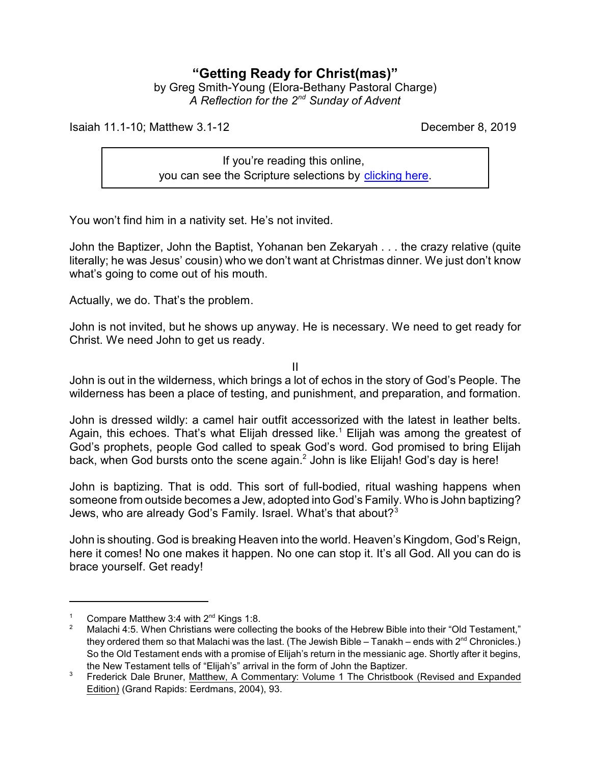## **"Getting Ready for Christ(mas)"**

by Greg Smith-Young (Elora-Bethany Pastoral Charge) *A Reflection for the 2nd Sunday of Advent*

Isaiah 11.1-10; Matthew 3.1-12 December 8, 2019

If you're reading this online, you can see the Scripture selections by [clicking here](https://www.biblegateway.com/passage/?search=Isaiah+11.1-10%3B+Matthew+3.1-12&version=CEB).

You won't find him in a nativity set. He's not invited.

John the Baptizer, John the Baptist, Yohanan ben Zekaryah . . . the crazy relative (quite literally; he was Jesus' cousin) who we don't want at Christmas dinner. We just don't know what's going to come out of his mouth.

Actually, we do. That's the problem.

John is not invited, but he shows up anyway. He is necessary. We need to get ready for Christ. We need John to get us ready.

II

John is out in the wilderness, which brings a lot of echos in the story of God's People. The wilderness has been a place of testing, and punishment, and preparation, and formation.

John is dressed wildly: a camel hair outfit accessorized with the latest in leather belts. Again, this echoes. That's what Elijah dressed like.<sup>1</sup> Elijah was among the greatest of God's prophets, people God called to speak God's word. God promised to bring Elijah back, when God bursts onto the scene again. $^2$  John is like Elijah! God's day is here!

John is baptizing. That is odd. This sort of full-bodied, ritual washing happens when someone from outside becomes a Jew, adopted into God's Family. Who is John baptizing? Jews, who are already God's Family. Israel. What's that about?<sup>3</sup>

John is shouting. God is breaking Heaven into the world. Heaven's Kingdom, God's Reign, here it comes! No one makes it happen. No one can stop it. It's all God. All you can do is brace yourself. Get ready!

Compare Matthew 3:4 with  $2^{nd}$  Kings 1:8.

<sup>2</sup> Malachi 4:5. When Christians were collecting the books of the Hebrew Bible into their "Old Testament," they ordered them so that Malachi was the last. (The Jewish Bible – Tanakh – ends with 2 $^{\text{nd}}$  Chronicles.) So the Old Testament ends with a promise of Elijah's return in the messianic age. Shortly after it begins, the New Testament tells of "Elijah's" arrival in the form of John the Baptizer.

<sup>&</sup>lt;sup>3</sup> Frederick Dale Bruner, Matthew, A Commentary: Volume 1 The Christbook (Revised and Expanded Edition) (Grand Rapids: Eerdmans, 2004), 93.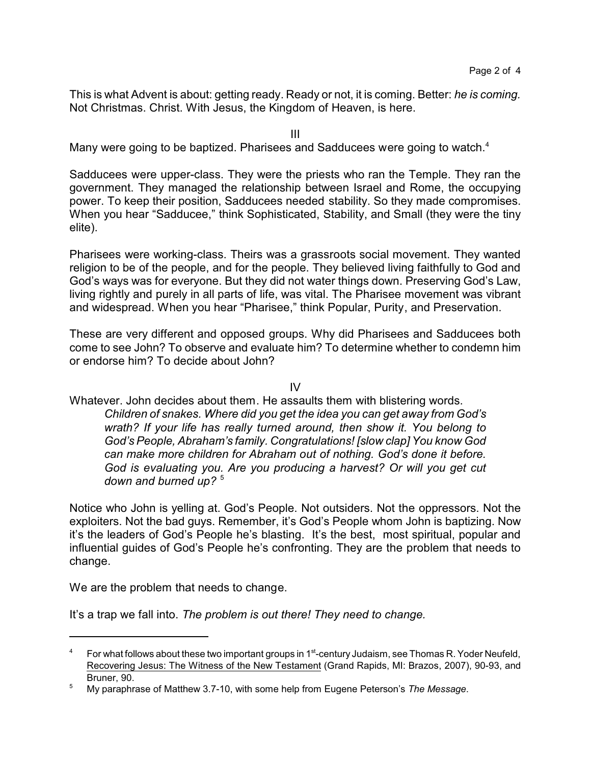This is what Advent is about: getting ready. Ready or not, it is coming. Better: *he is coming.* Not Christmas. Christ. With Jesus, the Kingdom of Heaven, is here.

III

Many were going to be baptized. Pharisees and Sadducees were going to watch.<sup>4</sup>

Sadducees were upper-class. They were the priests who ran the Temple. They ran the government. They managed the relationship between Israel and Rome, the occupying power. To keep their position, Sadducees needed stability. So they made compromises. When you hear "Sadducee," think Sophisticated, Stability, and Small (they were the tiny elite).

Pharisees were working-class. Theirs was a grassroots social movement. They wanted religion to be of the people, and for the people. They believed living faithfully to God and God's ways was for everyone. But they did not water things down. Preserving God's Law, living rightly and purely in all parts of life, was vital. The Pharisee movement was vibrant and widespread. When you hear "Pharisee," think Popular, Purity, and Preservation.

These are very different and opposed groups. Why did Pharisees and Sadducees both come to see John? To observe and evaluate him? To determine whether to condemn him or endorse him? To decide about John?

IV

Whatever. John decides about them. He assaults them with blistering words. *Children of snakes. Where did you get the idea you can get away from God's wrath? If your life has really turned around, then show it. You belong to God's People, Abraham's family. Congratulations! [slow clap] You know God can make more children for Abraham out of nothing. God's done it before. God is evaluating you. Are you producing a harvest? Or will you get cut*

*down and burned up?* <sup>5</sup>

Notice who John is yelling at. God's People. Not outsiders. Not the oppressors. Not the exploiters. Not the bad guys. Remember, it's God's People whom John is baptizing. Now it's the leaders of God's People he's blasting. It's the best, most spiritual, popular and influential guides of God's People he's confronting. They are the problem that needs to change.

We are the problem that needs to change.

It's a trap we fall into. *The problem is out there! They need to change.*

 $^4$  For what follows about these two important groups in 1st-century Judaism, see Thomas R. Yoder Neufeld, Recovering Jesus: The Witness of the New Testament (Grand Rapids, MI: Brazos, 2007), 90-93, and Bruner, 90.

<sup>5</sup> My paraphrase of Matthew 3.7-10, with some help from Eugene Peterson's *The Message*.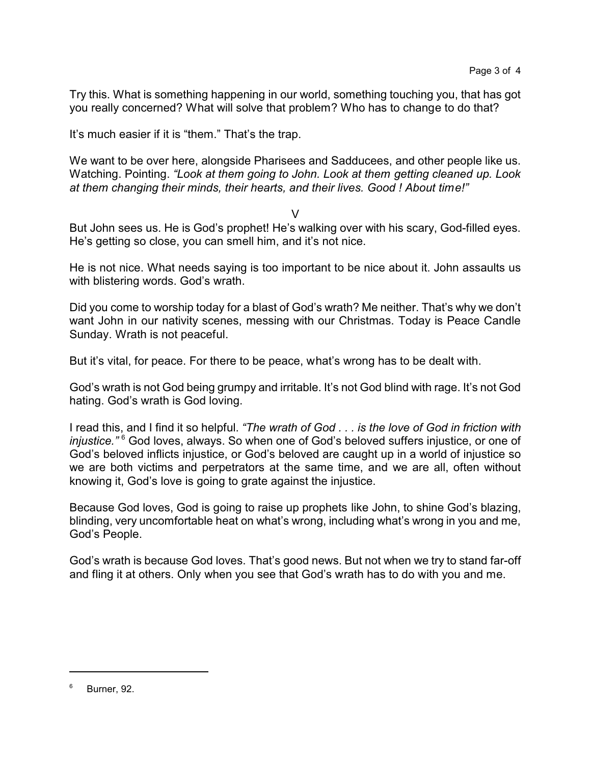Try this. What is something happening in our world, something touching you, that has got you really concerned? What will solve that problem? Who has to change to do that?

It's much easier if it is "them." That's the trap.

We want to be over here, alongside Pharisees and Sadducees, and other people like us. Watching. Pointing. *"Look at them going to John. Look at them getting cleaned up. Look at them changing their minds, their hearts, and their lives. Good ! About time!"*

## $\vee$

But John sees us. He is God's prophet! He's walking over with his scary, God-filled eyes. He's getting so close, you can smell him, and it's not nice.

He is not nice. What needs saying is too important to be nice about it. John assaults us with blistering words. God's wrath.

Did you come to worship today for a blast of God's wrath? Me neither. That's why we don't want John in our nativity scenes, messing with our Christmas. Today is Peace Candle Sunday. Wrath is not peaceful.

But it's vital, for peace. For there to be peace, what's wrong has to be dealt with.

God's wrath is not God being grumpy and irritable. It's not God blind with rage. It's not God hating. God's wrath is God loving.

I read this, and I find it so helpful. *"The wrath of God . . . is the love of God in friction with injustice.*"<sup>6</sup> God loves, always. So when one of God's beloved suffers injustice, or one of God's beloved inflicts injustice, or God's beloved are caught up in a world of injustice so we are both victims and perpetrators at the same time, and we are all, often without knowing it, God's love is going to grate against the injustice.

Because God loves, God is going to raise up prophets like John, to shine God's blazing, blinding, very uncomfortable heat on what's wrong, including what's wrong in you and me, God's People.

God's wrath is because God loves. That's good news. But not when we try to stand far-off and fling it at others. Only when you see that God's wrath has to do with you and me.

<sup>6</sup> Burner, 92.